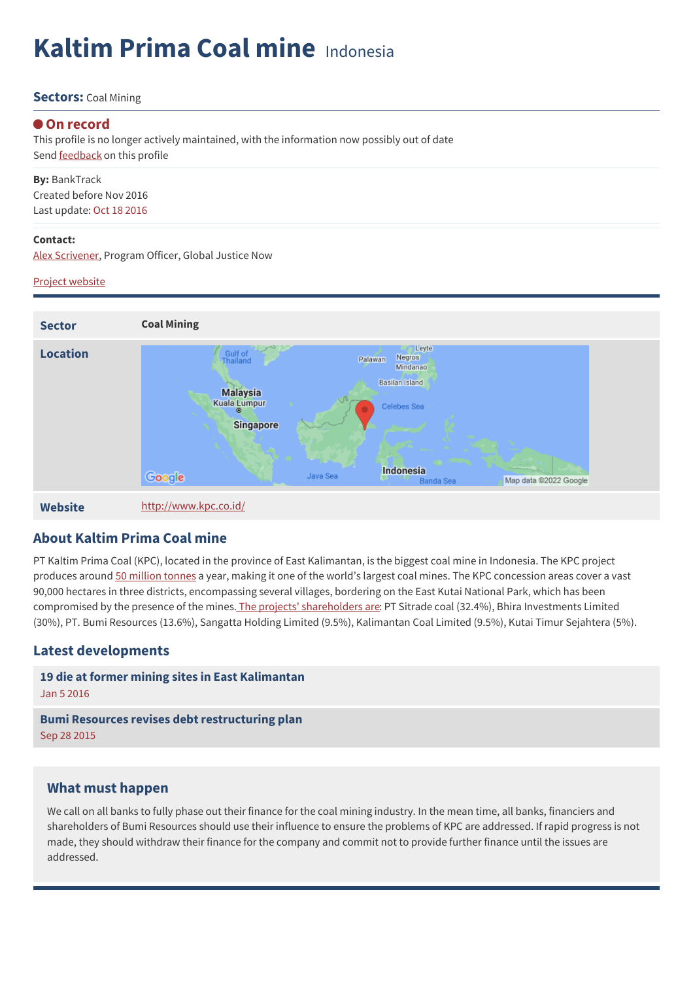# **Kaltim Prima Coal mine** Indonesia

#### **Sectors:** Coal Mining

#### **On record**

This profile is no longer actively maintained, with the information now possibly out of date Send **[feedback](https://www.banktrack.org/feedback/dodgydeal/kaltim_prima_coal_mine)** on this profile

**By:** BankTrack Created before Nov 2016 Last update: Oct 18 2016

#### **Contact:**

Alex [Scrivener,](mailto:Alex.Scrivener@wdm.org.uk) Program Officer, Global Justice Now

#### Project [website](http://www.kpc.co.id/)



**About Kaltim Prima Coal mine**

PT Kaltim Prima Coal (KPC), located in the province of East Kalimantan, is the biggest coal mine in Indonesia. The KPC project produces around 50 [million](https://archive.is/lj7NY) tonnes a year, making it one of the world's largest coal mines. The KPC concession areas cover a vast 90,000 hectares in three districts, encompassing several villages, bordering on the East Kutai National Park, which has been compromised by the presence of the mines. The projects' [shareholders](http://www.kpc.co.id/about/overview?locale=en) are: PT Sitrade coal (32.4%), Bhira Investments Limited (30%), PT. Bumi Resources (13.6%), Sangatta Holding Limited (9.5%), Kalimantan Coal Limited (9.5%), Kutai Timur Sejahtera (5%).

### **Latest developments**

| 19 die at former mining sites in East Kalimantan      |
|-------------------------------------------------------|
| Jan 5 2016                                            |
|                                                       |
| <b>Bumi Resources revises debt restructuring plan</b> |

### **What must happen**

We call on all banks to fully phase out their finance for the coal mining industry. In the mean time, all banks, financiers and shareholders of Bumi Resources should use their influence to ensure the problems of KPC are addressed. If rapid progress is not made, they should withdraw their finance for the company and commit not to provide further finance until the issues are addressed.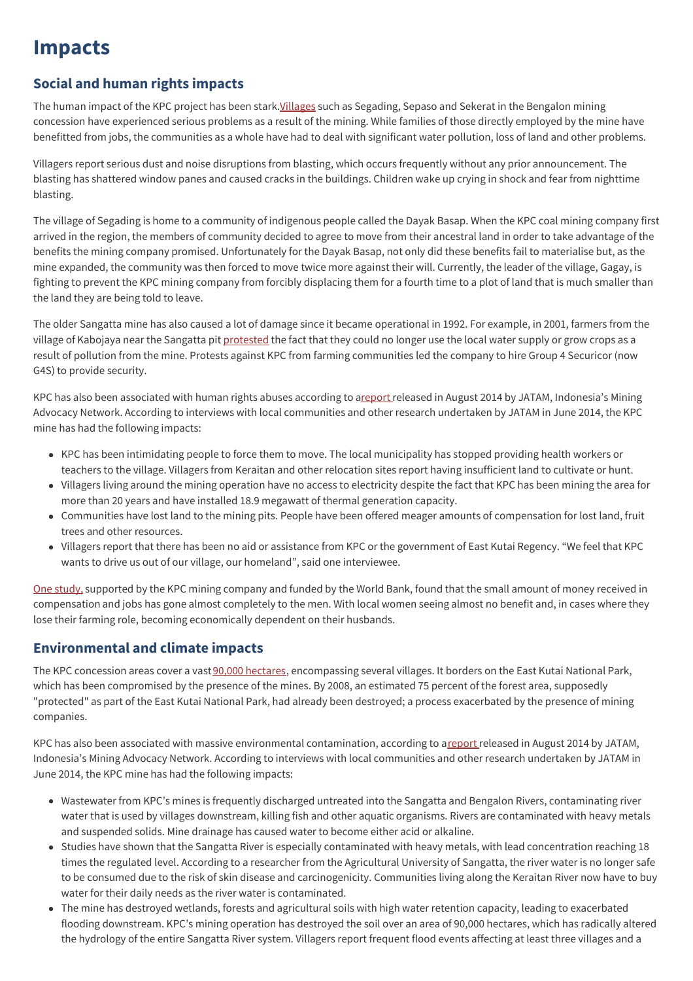## **Impacts**

## **Social and human rights impacts**

The human impact of the KPC project has been stark. Villages such as Segading, Sepaso and Sekerat in the Bengalon mining concession have experienced serious problems as a result of the mining. While families of those directly employed by the mine have benefitted from jobs, the communities as a whole have had to deal with significant water pollution, loss of land and other problems.

Villagers report serious dust and noise disruptions from blasting, which occurs frequently without any prior announcement. The blasting has shattered window panes and caused cracks in the buildings. Children wake up crying in shock and fear from nighttime blasting.

The village of Segading is home to a community of indigenous people called the Dayak Basap. When the KPC coal mining company first arrived in the region, the members of community decided to agree to move from their ancestral land in order to take advantage of the benefits the mining company promised. Unfortunately for the Dayak Basap, not only did these benefits fail to materialise but, as the mine expanded, the community was then forced to move twice more against their will. Currently, the leader of the village, Gagay, is fighting to prevent the KPC mining company from forcibly displacing them for a fourth time to a plot of land that is much smaller than the land they are being told to leave.

The older Sangatta mine has also caused a lot of damage since it became operational in 1992. For example, in 2001, farmers from the village of Kabojaya near the Sangatta pit [protested](http://www.downtoearth-indonesia.org/story/bps-coal-interest-kaltim-prima) the fact that they could no longer use the local water supply or grow crops as a result of pollution from the mine. Protests against KPC from farming communities led the company to hire Group 4 Securicor (now G4S) to provide security.

KPC has also been associated with human rights abuses according to [areport](https://www.banktrack.org/project/download/jatam_infosheet_final_20_aug_pdf/jatam_infosheet_final_20_aug.pdf) released in August 2014 by JATAM, Indonesia's Mining Advocacy Network. According to interviews with local communities and other research undertaken by JATAM in June 2014, the KPC mine has had the following impacts:

- KPC has been intimidating people to force them to move. The local municipality has stopped providing health workers or teachers to the village. Villagers from Keraitan and other relocation sites report having insufficient land to cultivate or hunt.
- Villagers living around the mining operation have no access to electricity despite the fact that KPC has been mining the area for more than 20 years and have installed 18.9 megawatt of thermal generation capacity.
- Communities have lost land to the mining pits. People have been offered meager amounts of compensation for lost land, fruit trees and other resources.
- Villagers report that there has been no aid or assistance from KPC or the government of East Kutai Regency. "We feel that KPC wants to drive us out of our village, our homeland", said one interviewee.

One [study,](https://crawford.anu.edu.au/pdf/staff/rmap/lahiridutt/CR3_KLD_Mahy_Impacts_Mining_Indonesia.pdf) supported by the KPC mining company and funded by the World Bank, found that the small amount of money received in compensation and jobs has gone almost completely to the men. With local women seeing almost no benefit and, in cases where they lose their farming role, becoming economically dependent on their husbands.

## **Environmental and climate impacts**

The KPC concession areas cover a vast90,000 [hectares](http://www.wdm.org.uk/sites/default/files/banking_while_borneo_burns.pdf), encompassing several villages. It borders on the East Kutai National Park, which has been compromised by the presence of the mines. By 2008, an estimated 75 percent of the forest area, supposedly "protected" as part of the East Kutai National Park, had already been destroyed; a process exacerbated by the presence of mining companies.

KPC has also been associated with massive environmental contamination, according to a[report](https://www.banktrack.org/project/download/jatam_infosheet_final_20_aug_pdf/jatam_infosheet_final_20_aug.pdf) released in August 2014 by JATAM, Indonesia's Mining Advocacy Network. According to interviews with local communities and other research undertaken by JATAM in June 2014, the KPC mine has had the following impacts:

- Wastewater from KPC's mines is frequently discharged untreated into the Sangatta and Bengalon Rivers, contaminating river water that is used by villages downstream, killing fish and other aquatic organisms. Rivers are contaminated with heavy metals and suspended solids. Mine drainage has caused water to become either acid or alkaline.
- Studies have shown that the Sangatta River is especially contaminated with heavy metals, with lead concentration reaching 18 times the regulated level. According to a researcher from the Agricultural University of Sangatta, the river water is no longer safe to be consumed due to the risk of skin disease and carcinogenicity. Communities living along the Keraitan River now have to buy water for their daily needs as the river water is contaminated.
- The mine has destroyed wetlands, forests and agricultural soils with high water retention capacity, leading to exacerbated flooding downstream. KPC's mining operation has destroyed the soil over an area of 90,000 hectares, which has radically altered the hydrology of the entire Sangatta River system. Villagers report frequent flood events affecting at least three villages and a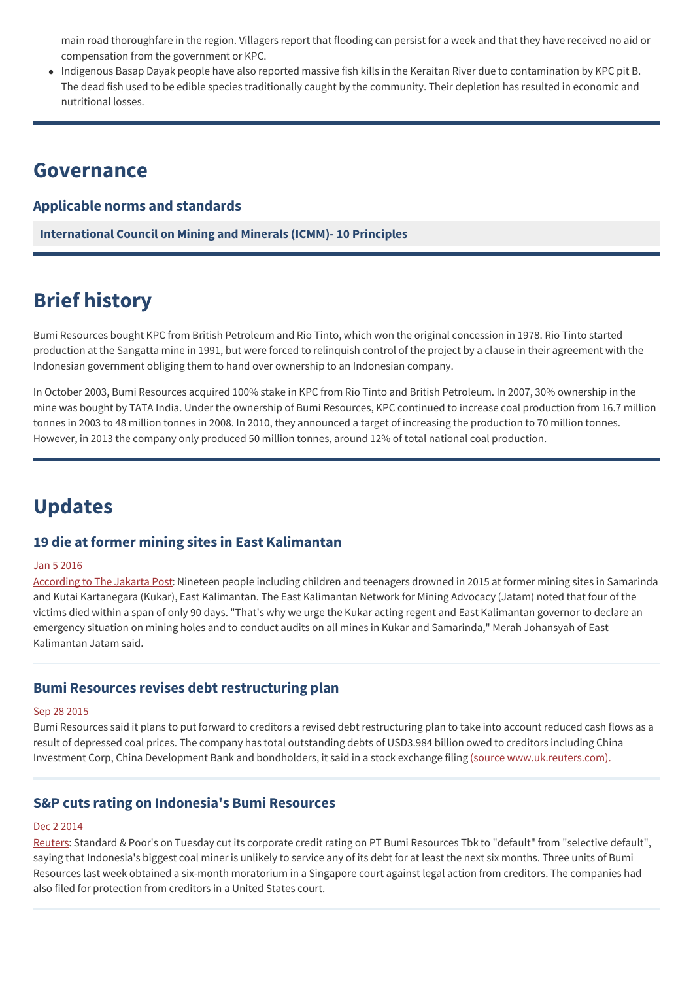main road thoroughfare in the region. Villagers report that flooding can persist for a week and that they have received no aid or compensation from the government or KPC.

Indigenous Basap Dayak people have also reported massive fish kills in the Keraitan River due to contamination by KPC pit B. The dead fish used to be edible species traditionally caught by the community. Their depletion has resulted in economic and nutritional losses.

## **Governance**

### **Applicable norms and standards**

**[International](http://www.icmm.com/our-work/sustainable-development-framework/10-principles) Council on Mining and Minerals (ICMM)- 10 Principles**

## **Brief history**

Bumi Resources bought KPC from British Petroleum and Rio Tinto, which won the original concession in 1978. Rio Tinto started production at the Sangatta mine in 1991, but were forced to relinquish control of the project by a clause in their agreement with the Indonesian government obliging them to hand over ownership to an Indonesian company.

In October 2003, Bumi Resources acquired 100% stake in KPC from Rio Tinto and British Petroleum. In 2007, 30% ownership in the mine was bought by TATA India. Under the ownership of Bumi Resources, KPC continued to increase coal production from 16.7 million tonnes in 2003 to 48 million tonnes in 2008. In 2010, they announced a target of increasing the production to 70 million tonnes. However, in 2013 the company only produced 50 million tonnes, around 12% of total national coal production.

## **Updates**

### **19 die at former mining sites in East Kalimantan**

#### Jan 5 2016

[According](http://www.thejakartapost.com/news/2016/01/05/19-die-former-mining-sites-east-kalimantan.html) to The Jakarta Post: Nineteen people including children and teenagers drowned in 2015 at former mining sites in Samarinda and Kutai Kartanegara (Kukar), East Kalimantan. The East Kalimantan Network for Mining Advocacy (Jatam) noted that four of the victims died within a span of only 90 days. "That's why we urge the Kukar acting regent and East Kalimantan governor to declare an emergency situation on mining holes and to conduct audits on all mines in Kukar and Samarinda," Merah Johansyah of East Kalimantan Jatam said.

### **Bumi Resources revises debt restructuring plan**

#### Sep 28 2015

Bumi Resources said it plans to put forward to creditors a revised debt restructuring plan to take into account reduced cash flows as a result of depressed coal prices. The company has total outstanding debts of USD3.984 billion owed to creditors including China Investment Corp, China Development Bank and bondholders, it said in a stock exchange filing (source [www.uk.reuters.com\).](http://uk.reuters.com/article/bumi-resources-debt-idUKL3N11Y33U20150928)

### **S&P cuts rating on Indonesia's Bumi Resources**

#### Dec 2 2014

[Reuters](http://www.reuters.com/article/bumi-resources-credit-idUSL3N0TM38N20141202): Standard & Poor's on Tuesday cut its corporate credit rating on PT Bumi Resources Tbk to "default" from "selective default", saying that Indonesia's biggest coal miner is unlikely to service any of its debt for at least the next six months. Three units of Bumi Resources last week obtained a six-month moratorium in a Singapore court against legal action from creditors. The companies had also filed for protection from creditors in a United States court.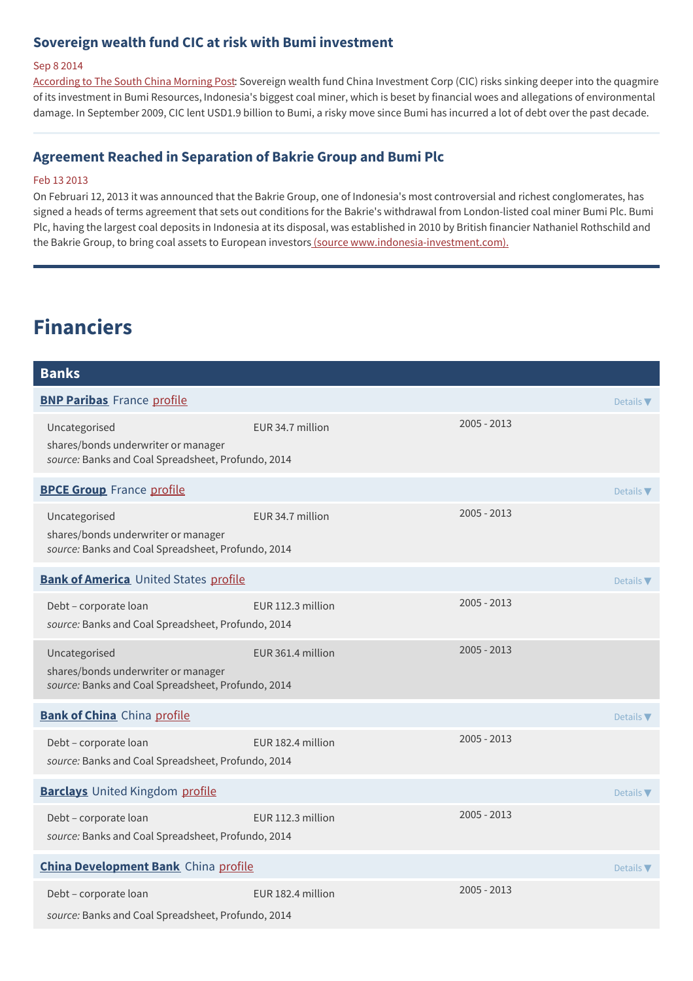## **Sovereign wealth fund CIC at risk with Bumi investment**

#### Sep 8 2014

[According](http://www.scmp.com/business/money/markets-investing/article/1587473/sovereign-wealth-fund-cic-risk-bumi-investment) to The South China Morning Post: Sovereign wealth fund China Investment Corp (CIC) risks sinking deeper into the quagmire of its investment in Bumi Resources, Indonesia's biggest coal miner, which is beset by financial woes and allegations of environmental damage. In September 2009, CIC lent USD1.9 billion to Bumi, a risky move since Bumi has incurred a lot of debt over the past decade.

#### **Agreement Reached in Separation of Bakrie Group and Bumi Plc**

#### Feb 13 2013

On Februari 12, 2013 it was announced that the Bakrie Group, one of Indonesia's most controversial and richest conglomerates, has signed a heads of terms agreement that sets out conditions for the Bakrie's withdrawal from London-listed coal miner Bumi Plc. Bumi Plc, having the largest coal deposits in Indonesia at its disposal, was established in 2010 by British financier Nathaniel Rothschild and the Bakrie Group, to bring coal assets to European investors (source [www.indonesia-investment.com\).](http://www.indonesia-investments.com/news/news-columns/agreement-reached-in-separation-of-bakrie-group-and-bumi-plc/item511)

## **Financiers**

| <b>Banks</b>                                                                                               |                   |               |                  |
|------------------------------------------------------------------------------------------------------------|-------------------|---------------|------------------|
| <b>BNP Paribas</b> France profile                                                                          |                   |               | Details $\nabla$ |
| Uncategorised<br>shares/bonds underwriter or manager<br>source: Banks and Coal Spreadsheet, Profundo, 2014 | EUR 34.7 million  | $2005 - 2013$ |                  |
| <b>BPCE Group</b> France profile                                                                           |                   |               | Details $\nabla$ |
| Uncategorised<br>shares/bonds underwriter or manager<br>source: Banks and Coal Spreadsheet, Profundo, 2014 | EUR 34.7 million  | $2005 - 2013$ |                  |
| <b>Bank of America</b> United States profile                                                               |                   |               | Details $\nabla$ |
| Debt - corporate loan<br>source: Banks and Coal Spreadsheet, Profundo, 2014                                | EUR 112.3 million | $2005 - 2013$ |                  |
| Uncategorised<br>shares/bonds underwriter or manager<br>source: Banks and Coal Spreadsheet, Profundo, 2014 | EUR 361.4 million | $2005 - 2013$ |                  |
| <b>Bank of China</b> China profile                                                                         |                   |               | Details $\nabla$ |
| Debt - corporate loan<br>source: Banks and Coal Spreadsheet, Profundo, 2014                                | EUR 182.4 million | $2005 - 2013$ |                  |
| <b>Barclays</b> United Kingdom profile                                                                     |                   |               | Details $\nabla$ |
| Debt - corporate loan<br>source: Banks and Coal Spreadsheet, Profundo, 2014                                | EUR 112.3 million | $2005 - 2013$ |                  |
| <b>China Development Bank</b> China profile                                                                |                   |               | Details $\nabla$ |
| Debt - corporate loan<br>source: Banks and Coal Spreadsheet, Profundo, 2014                                | EUR 182.4 million | $2005 - 2013$ |                  |